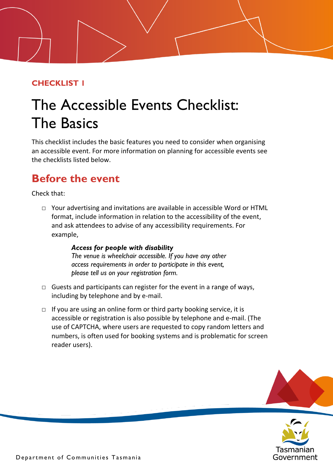### **CHECKLIST 1**

# The Accessible Events Checklist: The Basics

This checklist includes the basic features you need to consider when organising an accessible event. For more information on planning for accessible events see the checklists listed below.

### **Before the event**

Check that:

□ Your advertising and invitations are available in accessible Word or HTML format, include information in relation to the accessibility of the event, and ask attendees to advise of any accessibility requirements. For example,

#### *Access for people with disability*

*The venue is wheelchair accessible. If you have any other access requirements in order to participate in this event, please tell us on your registration form.* 

- $\Box$  Guests and participants can register for the event in a range of ways, including by telephone and by e-mail.
- □ If you are using an online form or third party booking service, it is accessible or registration is also possible by telephone and e-mail. (The use of CAPTCHA, where users are requested to copy random letters and numbers, is often used for booking systems and is problematic for screen reader users).



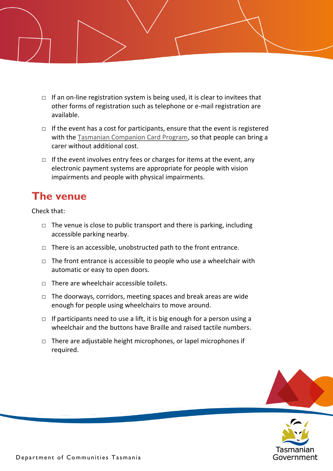- $\Box$  If an on-line registration system is being used, it is clear to invitees that other forms of registration such as telephone or e-mail registration are available.
- $\Box$  If the event has a cost for participants, ensure that the event is registered with the [Tasmanian Companion Card Program,](https://www.communities.tas.gov.au/csr/programs_and_services/companion_card_program) so that people can bring a carer without additional cost.
- $\Box$  If the event involves entry fees or charges for items at the event, any electronic payment systems are appropriate for people with vision impairments and people with physical impairments.

### **The venue**

Check that:

- $\Box$  The venue is close to public transport and there is parking, including accessible parking nearby.
- $\Box$  There is an accessible, unobstructed path to the front entrance.
- $\Box$  The front entrance is accessible to people who use a wheelchair with automatic or easy to open doors.
- $\Box$  There are wheelchair accessible toilets.
- $\Box$  The doorways, corridors, meeting spaces and break areas are wide enough for people using wheelchairs to move around.
- $\Box$  If participants need to use a lift, it is big enough for a person using a wheelchair and the buttons have Braille and raised tactile numbers.
- □ There are adjustable height microphones, or lapel microphones if required.



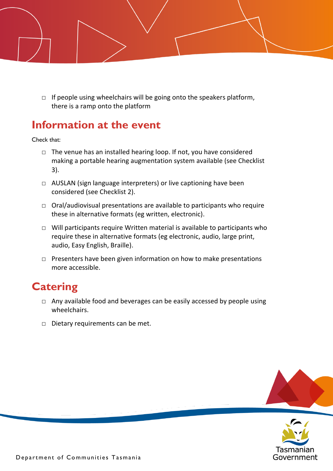$\Box$  If people using wheelchairs will be going onto the speakers platform, there is a ramp onto the platform

### **Information at the event**

Check that:

- □ The venue has an installed hearing loop. If not, you have considered making a portable hearing augmentation system available (see Checklist 3).
- □ AUSLAN (sign language interpreters) or live captioning have been considered (see Checklist 2).
- $\Box$  Oral/audiovisual presentations are available to participants who require these in alternative formats (eg written, electronic).
- $\Box$  Will participants require Written material is available to participants who require these in alternative formats (eg electronic, audio, large print, audio, Easy English, Braille).
- $\Box$  Presenters have been given information on how to make presentations more accessible.

## **Catering**

- □ Any available food and beverages can be easily accessed by people using wheelchairs.
- $\Box$  Dietary requirements can be met.